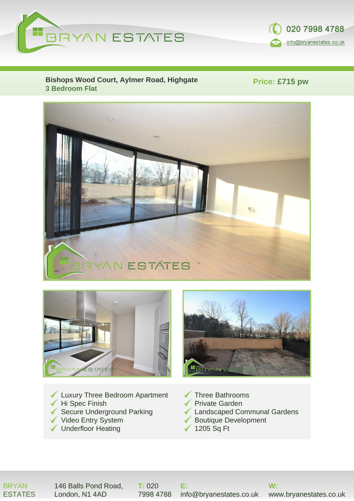



**Bishops Wood Court, Aylmer Road, Highgate 3 Bedroom Flat**

**Price: £715 pw**





- Luxury Three Bedroom Apartment Hi Spec Finish Secure Underground Parking Video Entry System
- ◆ Underfloor Heating
- Three Bathrooms
- **E**Private Garden
- Landscaped Communal Gardens
- Boutique Development
- 1205 Sq Ft

#### BRYAN ESTATES

146 Balls Pond Road, London, N1 4AD

**T:** 020

7998 4788 info@bryanestates.co.uk **E:**

**W:**

www.bryanestates.co.uk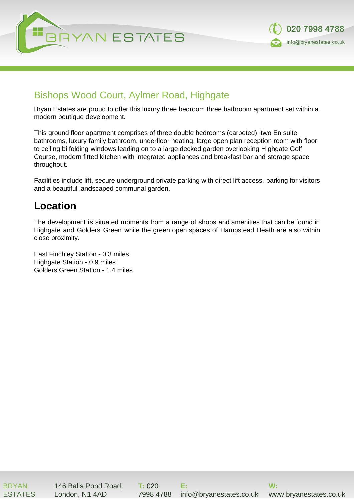



#### Bishops Wood Court, Aylmer Road, Highgate

Bryan Estates are proud to offer this luxury three bedroom three bathroom apartment set within a modern boutique development.

This ground floor apartment comprises of three double bedrooms (carpeted), two En suite bathrooms, luxury family bathroom, underfloor heating, large open plan reception room with floor to ceiling bi folding windows leading on to a large decked garden overlooking Highgate Golf Course, modern fitted kitchen with integrated appliances and breakfast bar and storage space throughout.

Facilities include lift, secure underground private parking with direct lift access, parking for visitors and a beautiful landscaped communal garden.

## **Location**

The development is situated moments from a range of shops and amenities that can be found in Highgate and Golders Green while the green open spaces of Hampstead Heath are also within close proximity.

East Finchley Station - 0.3 miles Highgate Station - 0.9 miles Golders Green Station - 1.4 miles

BRYAN **FSTATES**  146 Balls Pond Road, London, N1 4AD

**T:** 020 7998 4788

**E:** info@bryanestates.co.uk

**W:** www.bryanestates.co.uk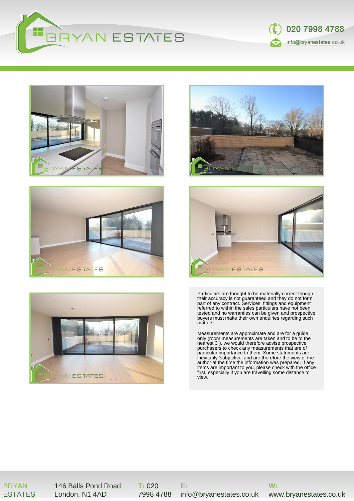













Particulars are thought to be materially correct though their accuracy is not guaranteed and they do not form part of any contract. Services, fittings and equipment referred to within the sales particulars have not been tested and no warranties can be given and prospective buyers must make their own enquiries regarding such matters.

Measurements are approximate and are for a guide only (room measurements are taken and to be to the nearest 3"), we would therefore advise prospective purchasers to check any measurements that are of particular importance to them. Some statements are inevitably 'subjective' and are therefore the view of the author at the time the information was prepared. If any items are important to you, please check with the office first, especially if you are travelling some distance to view.

BRYAN ESTATES

146 Balls Pond Road, London, N1 4AD

**T:** 020 7998 4788

**E:** info@bryanestates.co.uk

**W:**

www.bryanestates.co.uk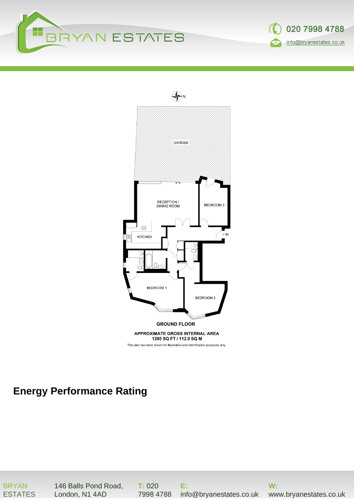





# **Energy Performance Rating**

BRYAN ESTATES 146 Balls Pond Road, London, N1 4AD

**T:** 020 7998 4788

**E:** info@bryanestates.co.uk

**W:**

www.bryanestates.co.uk